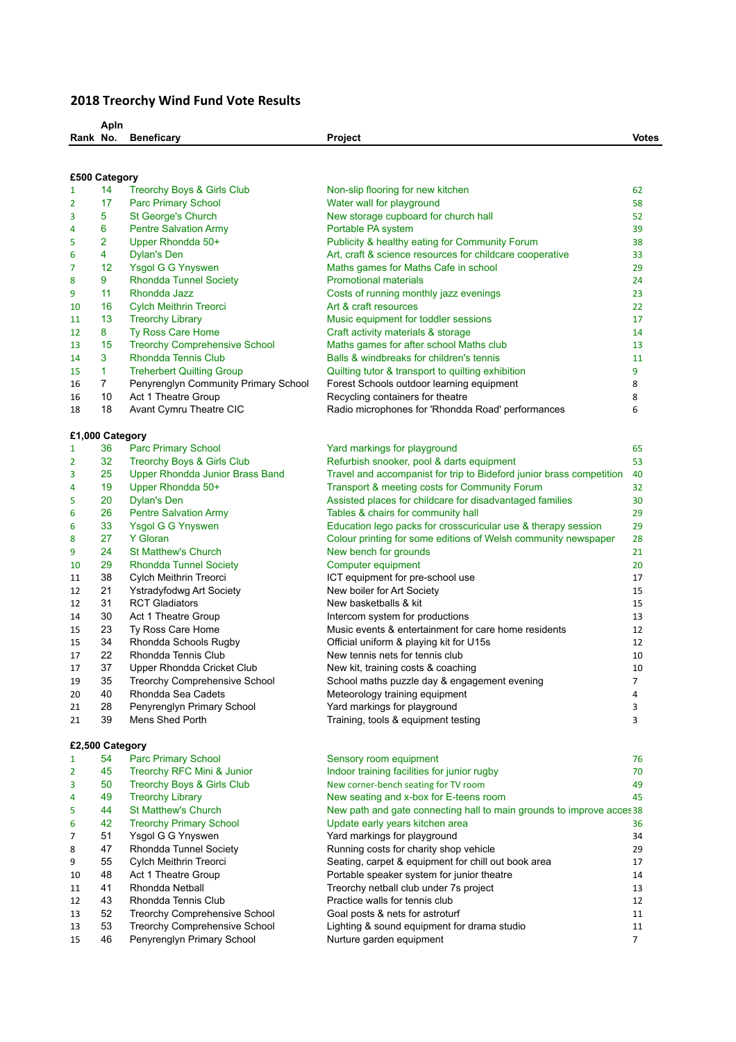## **2018 Treorchy Wind Fund Vote Results**

|                 | Apln            |                                       |                                                                       |              |  |  |  |  |
|-----------------|-----------------|---------------------------------------|-----------------------------------------------------------------------|--------------|--|--|--|--|
| Rank No.        |                 | <b>Beneficary</b>                     | Project                                                               | <b>Votes</b> |  |  |  |  |
|                 |                 |                                       |                                                                       |              |  |  |  |  |
|                 |                 |                                       |                                                                       |              |  |  |  |  |
| £500 Category   |                 |                                       |                                                                       |              |  |  |  |  |
| 1               | 14              | <b>Treorchy Boys &amp; Girls Club</b> | Non-slip flooring for new kitchen                                     | 62           |  |  |  |  |
| 2               | 17              | <b>Parc Primary School</b>            | Water wall for playground                                             | 58           |  |  |  |  |
| 3               | 5               | <b>St George's Church</b>             | New storage cupboard for church hall                                  | 52           |  |  |  |  |
| 4               | 6               | <b>Pentre Salvation Army</b>          | Portable PA system                                                    | 39           |  |  |  |  |
| 5               | 2               | Upper Rhondda 50+                     | Publicity & healthy eating for Community Forum                        | 38           |  |  |  |  |
| 6               | 4               | <b>Dylan's Den</b>                    | Art, craft & science resources for childcare cooperative              | 33           |  |  |  |  |
| 7               | 12 <sup>2</sup> | Ysgol G G Ynyswen                     | Maths games for Maths Cafe in school                                  | 29           |  |  |  |  |
| 8               | 9               | <b>Rhondda Tunnel Society</b>         | <b>Promotional materials</b>                                          | 24           |  |  |  |  |
| 9               | 11              | Rhondda Jazz                          |                                                                       | 23           |  |  |  |  |
|                 |                 |                                       | Costs of running monthly jazz evenings                                |              |  |  |  |  |
| 10              | 16              | <b>Cylch Meithrin Treorci</b>         | Art & craft resources                                                 | 22           |  |  |  |  |
| 11              | 13              | <b>Treorchy Library</b>               | Music equipment for toddler sessions                                  | 17           |  |  |  |  |
| 12              | 8               | Ty Ross Care Home                     | Craft activity materials & storage                                    | 14           |  |  |  |  |
| 13              | 15              | <b>Treorchy Comprehensive School</b>  | Maths games for after school Maths club                               | 13           |  |  |  |  |
| 14              | 3               | Rhondda Tennis Club                   | Balls & windbreaks for children's tennis                              | 11           |  |  |  |  |
| 15              | $\mathbf{1}$    | <b>Treherbert Quilting Group</b>      | Quilting tutor & transport to quilting exhibition                     | 9            |  |  |  |  |
| 16              | 7               | Penyrenglyn Community Primary School  | Forest Schools outdoor learning equipment                             | 8            |  |  |  |  |
| 16              | 10              | Act 1 Theatre Group                   | Recycling containers for theatre                                      | 8            |  |  |  |  |
| 18              | 18              | Avant Cymru Theatre CIC               | Radio microphones for 'Rhondda Road' performances                     | 6            |  |  |  |  |
|                 |                 |                                       |                                                                       |              |  |  |  |  |
| £1,000 Category |                 |                                       |                                                                       |              |  |  |  |  |
| 1               | 36              | <b>Parc Primary School</b>            | Yard markings for playground                                          | 65           |  |  |  |  |
| 2               | 32              | Treorchy Boys & Girls Club            | Refurbish snooker, pool & darts equipment                             | 53           |  |  |  |  |
| 3               | 25              | Upper Rhondda Junior Brass Band       | Travel and accompanist for trip to Bideford junior brass competition  | 40           |  |  |  |  |
| 4               | 19              | Upper Rhondda 50+                     | Transport & meeting costs for Community Forum                         | 32           |  |  |  |  |
| 5               | 20              | <b>Dylan's Den</b>                    | Assisted places for childcare for disadvantaged families              | 30           |  |  |  |  |
|                 | 26              | <b>Pentre Salvation Army</b>          | Tables & chairs for community hall                                    |              |  |  |  |  |
| 6               |                 |                                       |                                                                       | 29           |  |  |  |  |
| 6               | 33              | Ysgol G G Ynyswen                     | Education lego packs for crosscuricular use & therapy session         | 29           |  |  |  |  |
| 8               | 27              | <b>Y</b> Gloran                       | Colour printing for some editions of Welsh community newspaper        | 28           |  |  |  |  |
| 9               | 24              | <b>St Matthew's Church</b>            | New bench for grounds                                                 | 21           |  |  |  |  |
| 10              | 29              | <b>Rhondda Tunnel Society</b>         | Computer equipment                                                    | 20           |  |  |  |  |
| 11              | 38              | Cylch Meithrin Treorci                | ICT equipment for pre-school use                                      | 17           |  |  |  |  |
| 12              | 21              | Ystradyfodwg Art Society              | New boiler for Art Society                                            | 15           |  |  |  |  |
| 12              | 31              | <b>RCT Gladiators</b>                 | New basketballs & kit                                                 | 15           |  |  |  |  |
| 14              | 30              | Act 1 Theatre Group                   | Intercom system for productions                                       | 13           |  |  |  |  |
| 15              | 23              | Ty Ross Care Home                     | Music events & entertainment for care home residents                  | 12           |  |  |  |  |
| 15              | 34              | Rhondda Schools Rugby                 | Official uniform & playing kit for U15s                               | 12           |  |  |  |  |
| 17              | 22              | Rhondda Tennis Club                   | New tennis nets for tennis club                                       | 10           |  |  |  |  |
| 17              | 37              | Upper Rhondda Cricket Club            | New kit, training costs & coaching                                    | 10           |  |  |  |  |
| 19              | 35              | Treorchy Comprehensive School         | School maths puzzle day & engagement evening                          | 7            |  |  |  |  |
| 20              | 40              | Rhondda Sea Cadets                    | Meteorology training equipment                                        | 4            |  |  |  |  |
| 21              | 28              | Penyrenglyn Primary School            | Yard markings for playground                                          | 3            |  |  |  |  |
|                 | 39              | Mens Shed Porth                       |                                                                       | 3            |  |  |  |  |
| 21              |                 |                                       | Training, tools & equipment testing                                   |              |  |  |  |  |
|                 |                 |                                       |                                                                       |              |  |  |  |  |
|                 | £2,500 Category |                                       |                                                                       |              |  |  |  |  |
| 1               | 54              | <b>Parc Primary School</b>            | Sensory room equipment                                                | 76           |  |  |  |  |
| 2               | 45              | Treorchy RFC Mini & Junior            | Indoor training facilities for junior rugby                           | 70           |  |  |  |  |
| 3               | 50              | Treorchy Boys & Girls Club            | New corner-bench seating for TV room                                  | 49           |  |  |  |  |
| 4               | 49              | <b>Treorchy Library</b>               | New seating and x-box for E-teens room                                | 45           |  |  |  |  |
| 5               | 44              | <b>St Matthew's Church</b>            | New path and gate connecting hall to main grounds to improve acces 38 |              |  |  |  |  |
| 6               | 42              | <b>Treorchy Primary School</b>        | Update early years kitchen area                                       | 36           |  |  |  |  |
| 7               | 51              | Ysgol G G Ynyswen                     | Yard markings for playground                                          | 34           |  |  |  |  |
| 8               | 47              | Rhondda Tunnel Society                | Running costs for charity shop vehicle                                | 29           |  |  |  |  |
| 9               | 55              | Cylch Meithrin Treorci                | Seating, carpet & equipment for chill out book area                   | 17           |  |  |  |  |
| 10              | 48              | Act 1 Theatre Group                   | Portable speaker system for junior theatre                            | 14           |  |  |  |  |
| 11              | 41              | Rhondda Netball                       | Treorchy netball club under 7s project                                | 13           |  |  |  |  |
| 12              | 43              | Rhondda Tennis Club                   | Practice walls for tennis club                                        | 12           |  |  |  |  |
| 13              | 52              | Treorchy Comprehensive School         | Goal posts & nets for astroturf                                       | 11           |  |  |  |  |
| 13              | 53              | Treorchy Comprehensive School         | Lighting & sound equipment for drama studio                           | 11           |  |  |  |  |
|                 | 46              |                                       |                                                                       | 7            |  |  |  |  |
| 15              |                 | Penyrenglyn Primary School            | Nurture garden equipment                                              |              |  |  |  |  |